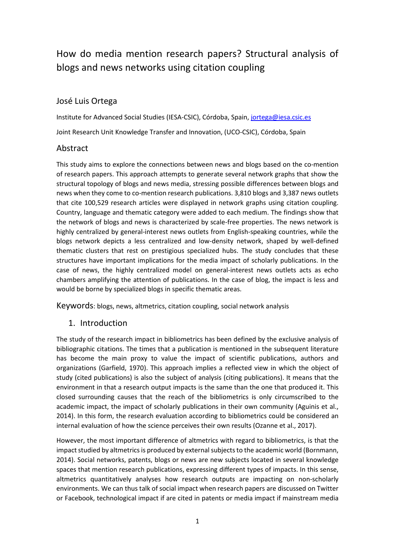# How do media mention research papers? Structural analysis of blogs and news networks using citation coupling

## José Luis Ortega

Institute for Advanced Social Studies (IESA-CSIC), Córdoba, Spain, [jortega@iesa.csic.es](mailto:jortega@iesa.csic.es)

Joint Research Unit Knowledge Transfer and Innovation, (UCO-CSIC), Córdoba, Spain

#### Abstract

This study aims to explore the connections between news and blogs based on the co-mention of research papers. This approach attempts to generate several network graphs that show the structural topology of blogs and news media, stressing possible differences between blogs and news when they come to co-mention research publications. 3,810 blogs and 3,387 news outlets that cite 100,529 research articles were displayed in network graphs using citation coupling. Country, language and thematic category were added to each medium. The findings show that the network of blogs and news is characterized by scale-free properties. The news network is highly centralized by general-interest news outlets from English-speaking countries, while the blogs network depicts a less centralized and low-density network, shaped by well-defined thematic clusters that rest on prestigious specialized hubs. The study concludes that these structures have important implications for the media impact of scholarly publications. In the case of news, the highly centralized model on general-interest news outlets acts as echo chambers amplifying the attention of publications. In the case of blog, the impact is less and would be borne by specialized blogs in specific thematic areas.

Keywords: blogs, news, altmetrics, citation coupling, social network analysis

#### 1. Introduction

The study of the research impact in bibliometrics has been defined by the exclusive analysis of bibliographic citations. The times that a publication is mentioned in the subsequent literature has become the main proxy to value the impact of scientific publications, authors and organizations (Garfield, 1970). This approach implies a reflected view in which the object of study (cited publications) is also the subject of analysis (citing publications). It means that the environment in that a research output impacts is the same than the one that produced it. This closed surrounding causes that the reach of the bibliometrics is only circumscribed to the academic impact, the impact of scholarly publications in their own community (Aguinis et al., 2014). In this form, the research evaluation according to bibliometrics could be considered an internal evaluation of how the science perceives their own results (Ozanne et al., 2017).

However, the most important difference of altmetrics with regard to bibliometrics, is that the impact studied by altmetrics is produced by external subjects to the academic world (Bornmann, 2014). Social networks, patents, blogs or news are new subjects located in several knowledge spaces that mention research publications, expressing different types of impacts. In this sense, altmetrics quantitatively analyses how research outputs are impacting on non-scholarly environments. We can thus talk of social impact when research papers are discussed on Twitter or Facebook, technological impact if are cited in patents or media impact if mainstream media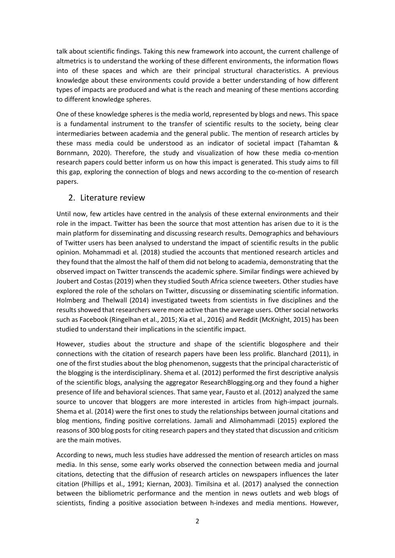talk about scientific findings. Taking this new framework into account, the current challenge of altmetrics is to understand the working of these different environments, the information flows into of these spaces and which are their principal structural characteristics. A previous knowledge about these environments could provide a better understanding of how different types of impacts are produced and what is the reach and meaning of these mentions according to different knowledge spheres.

One of these knowledge spheres is the media world, represented by blogs and news. This space is a fundamental instrument to the transfer of scientific results to the society, being clear intermediaries between academia and the general public. The mention of research articles by these mass media could be understood as an indicator of societal impact (Tahamtan & Bornmann, 2020). Therefore, the study and visualization of how these media co-mention research papers could better inform us on how this impact is generated. This study aims to fill this gap, exploring the connection of blogs and news according to the co-mention of research papers.

#### 2. Literature review

Until now, few articles have centred in the analysis of these external environments and their role in the impact. Twitter has been the source that most attention has arisen due to it is the main platform for disseminating and discussing research results. Demographics and behaviours of Twitter users has been analysed to understand the impact of scientific results in the public opinion. Mohammadi et al. (2018) studied the accounts that mentioned research articles and they found that the almost the half of them did not belong to academia, demonstrating that the observed impact on Twitter transcends the academic sphere. Similar findings were achieved by Joubert and Costas (2019) when they studied South Africa science tweeters. Other studies have explored the role of the scholars on Twitter, discussing or disseminating scientific information. Holmberg and Thelwall (2014) investigated tweets from scientists in five disciplines and the results showed that researchers were more active than the average users. Other social networks such as Facebook (Ringelhan et al., 2015; Xia et al., 2016) and Reddit (McKnight, 2015) has been studied to understand their implications in the scientific impact.

However, studies about the structure and shape of the scientific blogosphere and their connections with the citation of research papers have been less prolific. Blanchard (2011), in one of the first studies about the blog phenomenon, suggests that the principal characteristic of the blogging is the interdisciplinary. Shema et al. (2012) performed the first descriptive analysis of the scientific blogs, analysing the aggregator ResearchBlogging.org and they found a higher presence of life and behavioral sciences. That same year, Fausto et al. (2012) analyzed the same source to uncover that bloggers are more interested in articles from high-impact journals. Shema et al. (2014) were the first ones to study the relationships between journal citations and blog mentions, finding positive correlations. Jamali and Alimohammadi (2015) explored the reasons of 300 blog posts for citing research papers and they stated that discussion and criticism are the main motives.

According to news, much less studies have addressed the mention of research articles on mass media. In this sense, some early works observed the connection between media and journal citations, detecting that the diffusion of research articles on newspapers influences the later citation (Phillips et al., 1991; Kiernan, 2003). Timilsina et al. (2017) analysed the connection between the bibliometric performance and the mention in news outlets and web blogs of scientists, finding a positive association between h-indexes and media mentions. However,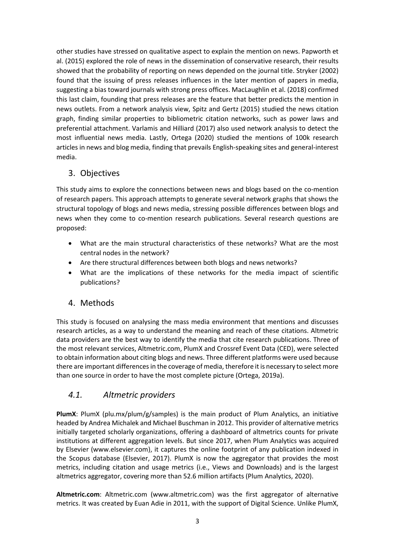other studies have stressed on qualitative aspect to explain the mention on news. Papworth et al. (2015) explored the role of news in the dissemination of conservative research, their results showed that the probability of reporting on news depended on the journal title. Stryker (2002) found that the issuing of press releases influences in the later mention of papers in media, suggesting a bias toward journals with strong press offices. MacLaughlin et al. (2018) confirmed this last claim, founding that press releases are the feature that better predicts the mention in news outlets. From a network analysis view, Spitz and Gertz (2015) studied the news citation graph, finding similar properties to bibliometric citation networks, such as power laws and preferential attachment. Varlamis and Hilliard (2017) also used network analysis to detect the most influential news media. Lastly, Ortega (2020) studied the mentions of 100k research articles in news and blog media, finding that prevails English-speaking sites and general-interest media.

# 3. Objectives

This study aims to explore the connections between news and blogs based on the co-mention of research papers. This approach attempts to generate several network graphs that shows the structural topology of blogs and news media, stressing possible differences between blogs and news when they come to co-mention research publications. Several research questions are proposed:

- What are the main structural characteristics of these networks? What are the most central nodes in the network?
- Are there structural differences between both blogs and news networks?
- What are the implications of these networks for the media impact of scientific publications?

## 4. Methods

This study is focused on analysing the mass media environment that mentions and discusses research articles, as a way to understand the meaning and reach of these citations. Altmetric data providers are the best way to identify the media that cite research publications. Three of the most relevant services, Altmetric.com, PlumX and Crossref Event Data (CED), were selected to obtain information about citing blogs and news. Three different platforms were used because there are important differences in the coverage of media, therefore it is necessary to select more than one source in order to have the most complete picture (Ortega, 2019a).

# *4.1. Altmetric providers*

**PlumX**: PlumX (plu.mx/plum/g/samples) is the main product of Plum Analytics, an initiative headed by Andrea Michalek and Michael Buschman in 2012. This provider of alternative metrics initially targeted scholarly organizations, offering a dashboard of altmetrics counts for private institutions at different aggregation levels. But since 2017, when Plum Analytics was acquired by Elsevier (www.elsevier.com), it captures the online footprint of any publication indexed in the Scopus database (Elsevier, 2017). PlumX is now the aggregator that provides the most metrics, including citation and usage metrics (i.e., Views and Downloads) and is the largest altmetrics aggregator, covering more than 52.6 million artifacts (Plum Analytics, 2020).

**Altmetric.com**: Altmetric.com (www.altmetric.com) was the first aggregator of alternative metrics. It was created by Euan Adie in 2011, with the support of Digital Science. Unlike PlumX,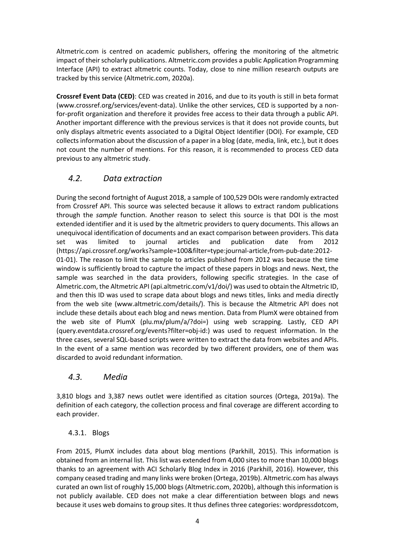Altmetric.com is centred on academic publishers, offering the monitoring of the altmetric impact of their scholarly publications. Altmetric.com provides a public Application Programming Interface (API) to extract altmetric counts. Today, close to nine million research outputs are tracked by this service (Altmetric.com, 2020a).

**Crossref Event Data (CED)**: CED was created in 2016, and due to its youth is still in beta format (www.crossref.org/services/event-data). Unlike the other services, CED is supported by a nonfor-profit organization and therefore it provides free access to their data through a public API. Another important difference with the previous services is that it does not provide counts, but only displays altmetric events associated to a Digital Object Identifier (DOI). For example, CED collects information about the discussion of a paper in a blog (date, media, link, etc.), but it does not count the number of mentions. For this reason, it is recommended to process CED data previous to any altmetric study.

# *4.2. Data extraction*

During the second fortnight of August 2018, a sample of 100,529 DOIs were randomly extracted from Crossref API. This source was selected because it allows to extract random publications through the *sample* function. Another reason to select this source is that DOI is the most extended identifier and it is used by the altmetric providers to query documents. This allows an unequivocal identification of documents and an exact comparison between providers. This data set was limited to journal articles and publication date from 2012 (https://api.crossref.org/works?sample=100&filter=type:journal-article,from-pub-date:2012- 01-01). The reason to limit the sample to articles published from 2012 was because the time window is sufficiently broad to capture the impact of these papers in blogs and news. Next, the sample was searched in the data providers, following specific strategies. In the case of Almetric.com, the Altmetric API (api.altmetric.com/v1/doi/) was used to obtain the Altmetric ID, and then this ID was used to scrape data about blogs and news titles, links and media directly from the web site (www.altmetric.com/details/). This is because the Altmetric API does not include these details about each blog and news mention. Data from PlumX were obtained from the web site of PlumX (plu.mx/plum/a/?doi=) using web scrapping. Lastly, CED API (query.eventdata.crossref.org/events?filter=obj-id:) was used to request information. In the three cases, several SQL-based scripts were written to extract the data from websites and APIs. In the event of a same mention was recorded by two different providers, one of them was discarded to avoid redundant information.

# *4.3. Media*

3,810 blogs and 3,387 news outlet were identified as citation sources (Ortega, 2019a). The definition of each category, the collection process and final coverage are different according to each provider.

## 4.3.1. Blogs

From 2015, PlumX includes data about blog mentions (Parkhill, 2015). This information is obtained from an internal list. This list was extended from 4,000 sites to more than 10,000 blogs thanks to an agreement with ACI Scholarly Blog Index in 2016 (Parkhill, 2016). However, this company ceased trading and many links were broken (Ortega, 2019b). Altmetric.com has always curated an own list of roughly 15,000 blogs (Altmetric.com, 2020b), although this information is not publicly available. CED does not make a clear differentiation between blogs and news because it uses web domains to group sites. It thus defines three categories: wordpressdotcom,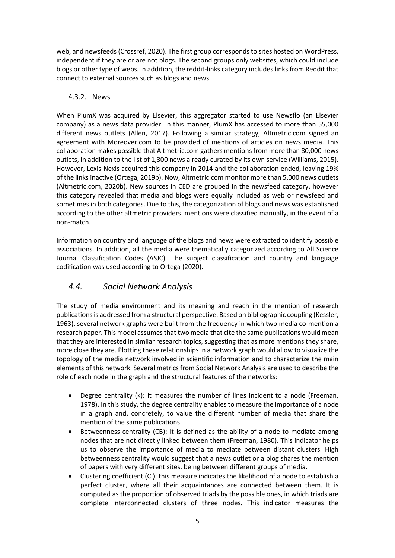web, and newsfeeds (Crossref, 2020). The first group corresponds to sites hosted on WordPress, independent if they are or are not blogs. The second groups only websites, which could include blogs or other type of webs. In addition, the reddit-links category includes links from Reddit that connect to external sources such as blogs and news.

#### 4.3.2. News

When PlumX was acquired by Elsevier, this aggregator started to use Newsflo (an Elsevier company) as a news data provider. In this manner, PlumX has accessed to more than 55,000 different news outlets (Allen, 2017). Following a similar strategy, Altmetric.com signed an agreement with Moreover.com to be provided of mentions of articles on news media. This collaboration makes possible that Altmetric.com gathers mentions from more than 80,000 news outlets, in addition to the list of 1,300 news already curated by its own service (Williams, 2015). However, Lexis-Nexis acquired this company in 2014 and the collaboration ended, leaving 19% of the links inactive (Ortega, 2019b). Now, Altmetric.com monitor more than 5,000 news outlets (Altmetric.com, 2020b). New sources in CED are grouped in the newsfeed category, however this category revealed that media and blogs were equally included as web or newsfeed and sometimes in both categories. Due to this, the categorization of blogs and news was established according to the other altmetric providers. mentions were classified manually, in the event of a non-match.

Information on country and language of the blogs and news were extracted to identify possible associations. In addition, all the media were thematically categorized according to All Science Journal Classification Codes (ASJC). The subject classification and country and language codification was used according to Ortega (2020).

# *4.4. Social Network Analysis*

The study of media environment and its meaning and reach in the mention of research publications is addressed from a structural perspective. Based on bibliographic coupling (Kessler, 1963), several network graphs were built from the frequency in which two media co-mention a research paper. This model assumes that two media that cite the same publications would mean that they are interested in similar research topics, suggesting that as more mentions they share, more close they are. Plotting these relationships in a network graph would allow to visualize the topology of the media network involved in scientific information and to characterize the main elements of this network. Several metrics from Social Network Analysis are used to describe the role of each node in the graph and the structural features of the networks:

- Degree centrality (k): It measures the number of lines incident to a node (Freeman, 1978). In this study, the degree centrality enables to measure the importance of a node in a graph and, concretely, to value the different number of media that share the mention of the same publications.
- Betweenness centrality (CB): It is defined as the ability of a node to mediate among nodes that are not directly linked between them (Freeman, 1980). This indicator helps us to observe the importance of media to mediate between distant clusters. High betweenness centrality would suggest that a news outlet or a blog shares the mention of papers with very different sites, being between different groups of media.
- Clustering coefficient (Ci): this measure indicates the likelihood of a node to establish a perfect cluster, where all their acquaintances are connected between them. It is computed as the proportion of observed triads by the possible ones, in which triads are complete interconnected clusters of three nodes. This indicator measures the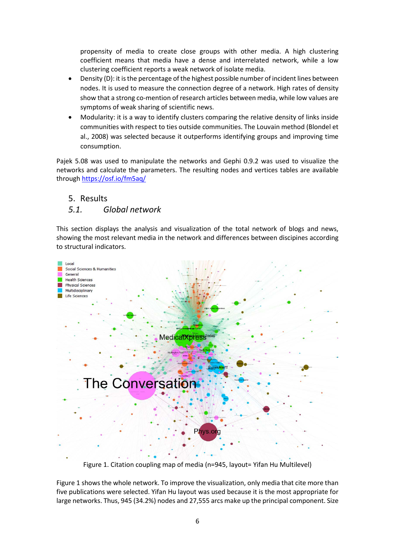propensity of media to create close groups with other media. A high clustering coefficient means that media have a dense and interrelated network, while a low clustering coefficient reports a weak network of isolate media.

- Density (D): it is the percentage of the highest possible number of incident lines between nodes. It is used to measure the connection degree of a network. High rates of density show that a strong co-mention of research articles between media, while low values are symptoms of weak sharing of scientific news.
- Modularity: it is a way to identify clusters comparing the relative density of links inside communities with respect to ties outside communities. The Louvain method (Blondel et al., 2008) was selected because it outperforms identifying groups and improving time consumption.

Pajek 5.08 was used to manipulate the networks and Gephi 0.9.2 was used to visualize the networks and calculate the parameters. The resulting nodes and vertices tables are available throug[h https://osf.io/fm5aq/](https://osf.io/fm5aq/)

#### 5. Results

#### *5.1. Global network*

This section displays the analysis and visualization of the total network of blogs and news, showing the most relevant media in the network and differences between discipines according to structural indicators.



Figure 1. Citation coupling map of media (n=945, layout= Yifan Hu Multilevel)

Figure 1 shows the whole network. To improve the visualization, only media that cite more than five publications were selected. Yifan Hu layout was used because it is the most appropriate for large networks. Thus, 945 (34.2%) nodes and 27,555 arcs make up the principal component. Size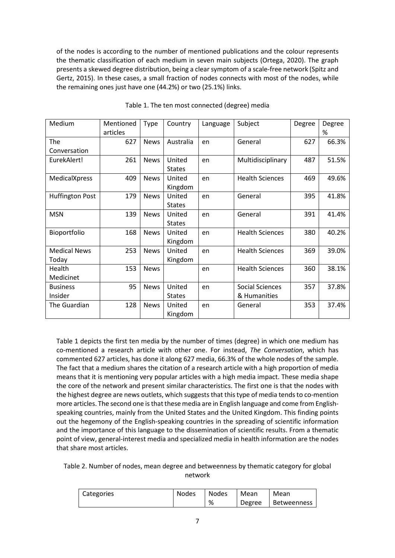of the nodes is according to the number of mentioned publications and the colour represents the thematic classification of each medium in seven main subjects (Ortega, 2020). The graph presents a skewed degree distribution, being a clear symptom of a scale-free network (Spitz and Gertz, 2015). In these cases, a small fraction of nodes connects with most of the nodes, while the remaining ones just have one (44.2%) or two (25.1%) links.

| Medium                       | Mentioned<br>articles | Type        | Country                 | Subject<br>Language |                                        | Degree | Degree<br>% |
|------------------------------|-----------------------|-------------|-------------------------|---------------------|----------------------------------------|--------|-------------|
| The<br>Conversation          | 627                   | <b>News</b> | Australia               | en                  | General                                | 627    | 66.3%       |
| EurekAlert!                  | 261                   | <b>News</b> | United<br><b>States</b> | en                  | Multidisciplinary                      |        | 51.5%       |
| MedicalXpress                | 409                   | <b>News</b> | United<br>Kingdom       | en                  | <b>Health Sciences</b>                 |        | 49.6%       |
| <b>Huffington Post</b>       | 179                   | <b>News</b> | United<br><b>States</b> | en                  | General                                |        | 41.8%       |
| <b>MSN</b>                   | 139                   | <b>News</b> | United<br><b>States</b> | en                  | General                                | 391    | 41.4%       |
| Bioportfolio                 | 168                   | <b>News</b> | United<br>Kingdom       | en                  | <b>Health Sciences</b>                 | 380    | 40.2%       |
| <b>Medical News</b><br>Today | 253                   | <b>News</b> | United<br>Kingdom       | en                  | <b>Health Sciences</b>                 | 369    | 39.0%       |
| Health<br>Medicinet          | 153                   | <b>News</b> |                         | en                  | <b>Health Sciences</b>                 | 360    | 38.1%       |
| <b>Business</b><br>Insider   | 95                    | <b>News</b> | United<br><b>States</b> | en                  | <b>Social Sciences</b><br>& Humanities | 357    | 37.8%       |
| The Guardian                 | 128                   | <b>News</b> | United<br>Kingdom       | en                  | General                                | 353    | 37.4%       |

Table 1. The ten most connected (degree) media

Table 1 depicts the first ten media by the number of times (degree) in which one medium has co-mentioned a research article with other one. For instead, *The Conversation*, which has commented 627 articles, has done it along 627 media, 66.3% of the whole nodes of the sample. The fact that a medium shares the citation of a research article with a high proportion of media means that it is mentioning very popular articles with a high media impact. These media shape the core of the network and present similar characteristics. The first one is that the nodes with the highest degree are news outlets, which suggests that this type of media tends to co-mention more articles. The second one is that these media are in English language and come from Englishspeaking countries, mainly from the United States and the United Kingdom. This finding points out the hegemony of the English-speaking countries in the spreading of scientific information and the importance of this language to the dissemination of scientific results. From a thematic point of view, general-interest media and specialized media in health information are the nodes that share most articles.

Table 2. Number of nodes, mean degree and betweenness by thematic category for global network

| Categories | <b>Nodes</b> | Nodes | Mean   | Mean        |  |
|------------|--------------|-------|--------|-------------|--|
|            |              | %     | Degree | Betweenness |  |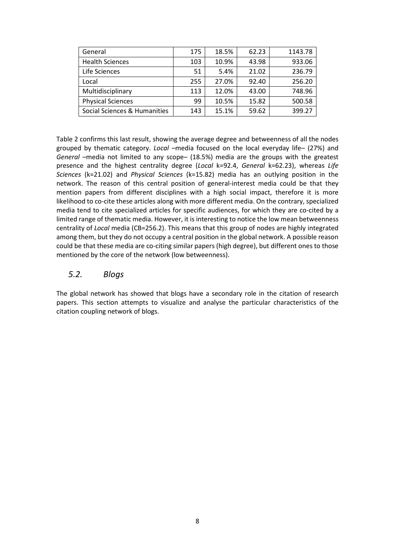| General                      | 175 | 18.5% | 62.23 | 1143.78 |
|------------------------------|-----|-------|-------|---------|
| <b>Health Sciences</b>       | 103 | 10.9% | 43.98 | 933.06  |
| Life Sciences                | 51  | 5.4%  | 21.02 | 236.79  |
| Local                        | 255 | 27.0% | 92.40 | 256.20  |
| Multidisciplinary            | 113 | 12.0% | 43.00 | 748.96  |
| <b>Physical Sciences</b>     | 99  | 10.5% | 15.82 | 500.58  |
| Social Sciences & Humanities | 143 | 15.1% | 59.62 | 399.27  |

Table 2 confirms this last result, showing the average degree and betweenness of all the nodes grouped by thematic category. *Local –*media focused on the local everyday life*–* (27%) and *General –*media not limited to any scope*–* (18.5%) media are the groups with the greatest presence and the highest centrality degree (*Local* k=92.4, *General* k=62.23), whereas *Life Sciences* (k=21.02) and *Physical Sciences* (k=15.82) media has an outlying position in the network. The reason of this central position of general-interest media could be that they mention papers from different disciplines with a high social impact, therefore it is more likelihood to co-cite these articles along with more different media. On the contrary, specialized media tend to cite specialized articles for specific audiences, for which they are co-cited by a limited range of thematic media. However, it is interesting to notice the low mean betweenness centrality of *Local* media (CB=256.2). This means that this group of nodes are highly integrated among them, but they do not occupy a central position in the global network. A possible reason could be that these media are co-citing similar papers (high degree), but different ones to those mentioned by the core of the network (low betweenness).

## *5.2. Blogs*

The global network has showed that blogs have a secondary role in the citation of research papers. This section attempts to visualize and analyse the particular characteristics of the citation coupling network of blogs.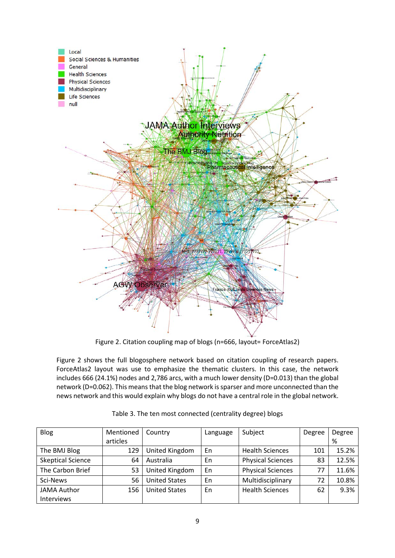

Figure 2. Citation coupling map of blogs (n=666, layout= ForceAtlas2)

Figure 2 shows the full blogosphere network based on citation coupling of research papers. ForceAtlas2 layout was use to emphasize the thematic clusters. In this case, the network includes 666 (24.1%) nodes and 2,786 arcs, with a much lower density (D=0.013) than the global network (D=0.062). This means that the blog network is sparser and more unconnected than the news network and this would explain why blogs do not have a central role in the global network.

| <b>Blog</b>              | Mentioned | Country              | Language | Subject                  | Degree | Degree |
|--------------------------|-----------|----------------------|----------|--------------------------|--------|--------|
|                          | articles  |                      |          |                          |        | %      |
| The BMJ Blog             | 129       | United Kingdom       | En       | <b>Health Sciences</b>   | 101    | 15.2%  |
| <b>Skeptical Science</b> | 64        | Australia            | En       | <b>Physical Sciences</b> | 83     | 12.5%  |
| The Carbon Brief         | 53        | United Kingdom       | En       | <b>Physical Sciences</b> | 77     | 11.6%  |
| Sci-News                 | 56        | <b>United States</b> | En       | Multidisciplinary        | 72     | 10.8%  |
| <b>JAMA Author</b>       | 156       | <b>United States</b> | En       | <b>Health Sciences</b>   | 62     | 9.3%   |
| Interviews               |           |                      |          |                          |        |        |

Table 3. The ten most connected (centrality degree) blogs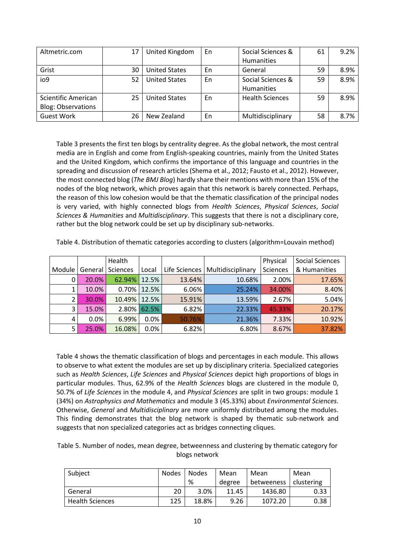| Altmetric.com             | 17 | United Kingdom       | En | Social Sciences &      | 61 | 9.2% |
|---------------------------|----|----------------------|----|------------------------|----|------|
|                           |    |                      |    | Humanities             |    |      |
| Grist                     | 30 | <b>United States</b> | En | General                | 59 | 8.9% |
| io9                       | 52 | <b>United States</b> | En | Social Sciences &      | 59 | 8.9% |
|                           |    |                      |    | Humanities             |    |      |
| Scientific American       | 25 | <b>United States</b> | En | <b>Health Sciences</b> | 59 | 8.9% |
| <b>Blog: Observations</b> |    |                      |    |                        |    |      |
| <b>Guest Work</b>         | 26 | New Zealand          | En | Multidisciplinary      | 58 | 8.7% |

Table 3 presents the first ten blogs by centrality degree. As the global network, the most central media are in English and come from English-speaking countries, mainly from the United States and the United Kingdom, which confirms the importance of this language and countries in the spreading and discussion of research articles (Shema et al., 2012; Fausto et al., 2012). However, the most connected blog (*The BMJ Blog*) hardly share their mentions with more than 15% of the nodes of the blog network, which proves again that this network is barely connected. Perhaps, the reason of this low cohesion would be that the thematic classification of the principal nodes is very varied, with highly connected blogs from *Health Sciences*, *Physical Sciences*, *Social Sciences & Humanities* and *Multidisciplinary*. This suggests that there is not a disciplinary core, rather but the blog network could be set up by disciplinary sub-networks.

|        |         | Health       |             |        |                                   | Physical | <b>Social Sciences</b> |
|--------|---------|--------------|-------------|--------|-----------------------------------|----------|------------------------|
| Module | General | Sciences     | Local       |        | Life Sciences   Multidisciplinary | Sciences | & Humanities           |
| 0      | 20.0%   | 62.94%       | 12.5%       | 13.64% | 10.68%                            | 2.00%    | 17.65%                 |
| 1      | 10.0%   |              | 0.70% 12.5% | 6.06%  | 25.24%                            | 34.00%   | 8.40%                  |
| 2      | 30.0%   | 10.49% 12.5% |             | 15.91% | 13.59%                            | 2.67%    | 5.04%                  |
| 3      | 15.0%   |              | 2.80% 62.5% | 6.82%  | 22.33%                            | 45.33%   | 20.17%                 |
| 4      | 0.0%    | 6.99%        | $0.0\%$     | 50.76% | 21.36%                            | 7.33%    | 10.92%                 |
| 5.     | 25.0%   | 16.08%       | 0.0%        | 6.82%  | 6.80%                             | 8.67%    | 37.82%                 |

Table 4. Distribution of thematic categories according to clusters (algorithm=Louvain method)

Table 4 shows the thematic classification of blogs and percentages in each module. This allows to observe to what extent the modules are set up by disciplinary criteria. Specialized categories such as *Health Sciences*, *Life Sciences* and *Physical Sciences* depict high proportions of blogs in particular modules. Thus, 62.9% of the *Health Sciences* blogs are clustered in the module 0, 50.7% of *Life Sciences* in the module 4, and *Physical Sciences* are split in two groups: module 1 (34%) on *Astrophysics and Mathematics* and module 3 (45.33%) about *Environmental Sciences*. Otherwise, *General* and *Multidisciplinary* are more uniformly distributed among the modules. This finding demonstrates that the blog network is shaped by thematic sub-network and suggests that non specialized categories act as bridges connecting cliques.

Table 5. Number of nodes, mean degree, betweenness and clustering by thematic category for blogs network

| Subject                | <b>Nodes</b> | <b>Nodes</b> | Mean   | Mean       | Mean       |
|------------------------|--------------|--------------|--------|------------|------------|
|                        |              | %            | degree | betweeness | clustering |
| General                | 20           | 3.0%         | 11.45  | 1436.80    | 0.33       |
| <b>Health Sciences</b> | 125          | 18.8%        | 9.26   | 1072.20    | 0.38       |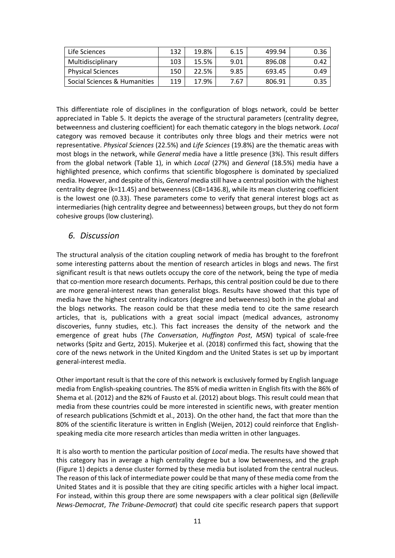| Life Sciences                | 132 | 19.8% | 6.15 | 499.94 | 0.36 |
|------------------------------|-----|-------|------|--------|------|
| Multidisciplinary            | 103 | 15.5% | 9.01 | 896.08 | 0.42 |
| <b>Physical Sciences</b>     | 150 | 22.5% | 9.85 | 693.45 | 0.49 |
| Social Sciences & Humanities | 119 | 17.9% | 7.67 | 806.91 | 0.35 |

This differentiate role of disciplines in the configuration of blogs network, could be better appreciated in Table 5. It depicts the average of the structural parameters (centrality degree, betweenness and clustering coefficient) for each thematic category in the blogs network. *Local* category was removed because it contributes only three blogs and their metrics were not representative. *Physical Sciences* (22.5%) and *Life Sciences* (19.8%) are the thematic areas with most blogs in the network, while *General* media have a little presence (3%). This result differs from the global network (Table 1), in which *Local* (27%) and *General* (18.5%) media have a highlighted presence, which confirms that scientific blogosphere is dominated by specialized media. However, and despite of this, *General* media still have a central position with the highest centrality degree (k=11.45) and betweenness (CB=1436.8), while its mean clustering coefficient is the lowest one (0.33). These parameters come to verify that general interest blogs act as intermediaries (high centrality degree and betweenness) between groups, but they do not form cohesive groups (low clustering).

#### *6. Discussion*

The structural analysis of the citation coupling network of media has brought to the forefront some interesting patterns about the mention of research articles in blogs and news. The first significant result is that news outlets occupy the core of the network, being the type of media that co-mention more research documents. Perhaps, this central position could be due to there are more general-interest news than generalist blogs. Results have showed that this type of media have the highest centrality indicators (degree and betweenness) both in the global and the blogs networks. The reason could be that these media tend to cite the same research articles, that is, publications with a great social impact (medical advances, astronomy discoveries, funny studies, etc.). This fact increases the density of the network and the emergence of great hubs (*The Conversation*, *Huffington Post*, *MSN*) typical of scale-free networks (Spitz and Gertz, 2015). Mukerjee et al. (2018) confirmed this fact, showing that the core of the news network in the United Kingdom and the United States is set up by important general-interest media.

Other important result is that the core of this network is exclusively formed by English language media from English-speaking countries. The 85% of media written in English fits with the 86% of Shema et al. (2012) and the 82% of Fausto et al. (2012) about blogs. This result could mean that media from these countries could be more interested in scientific news, with greater mention of research publications (Schmidt et al., 2013). On the other hand, the fact that more than the 80% of the scientific literature is written in English (Weijen, 2012) could reinforce that Englishspeaking media cite more research articles than media written in other languages.

It is also worth to mention the particular position of *Local* media. The results have showed that this category has in average a high centrality degree but a low betweenness, and the graph (Figure 1) depicts a dense cluster formed by these media but isolated from the central nucleus. The reason of this lack of intermediate power could be that many of these media come from the United States and it is possible that they are citing specific articles with a higher local impact. For instead, within this group there are some newspapers with a clear political sign (*Belleville News-Democrat*, *The Tribune-Democrat*) that could cite specific research papers that support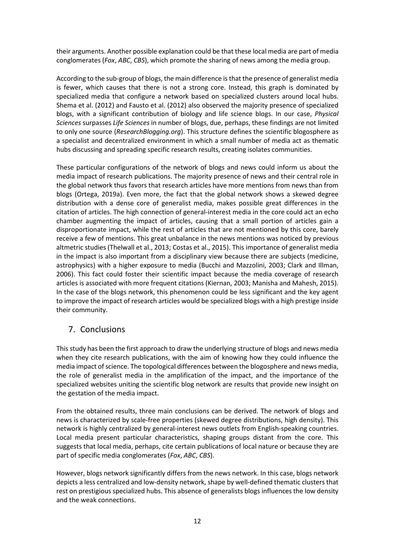their arguments. Another possible explanation could be that these local media are part of media conglomerates (*Fox*, *ABC*, *CBS*), which promote the sharing of news among the media group.

According to the sub-group of blogs, the main difference is that the presence of generalist media is fewer, which causes that there is not a strong core. Instead, this graph is dominated by specialized media that configure a network based on specialized clusters around local hubs. Shema et al. (2012) and Fausto et al. (2012) also observed the majority presence of specialized blogs, with a significant contribution of biology and life science blogs. In our case, *Physical Sciences* surpasses *Life Sciences* in number of blogs, due, perhaps, these findings are not limited to only one source (*ResearchBlogging.org*). This structure defines the scientific blogosphere as a specialist and decentralized environment in which a small number of media act as thematic hubs discussing and spreading specific research results, creating isolates communities.

These particular configurations of the network of blogs and news could inform us about the media impact of research publications. The majority presence of news and their central role in the global network thus favors that research articles have more mentions from news than from blogs (Ortega, 2019a). Even more, the fact that the global network shows a skewed degree distribution with a dense core of generalist media, makes possible great differences in the citation of articles. The high connection of general-interest media in the core could act an echo chamber augmenting the impact of articles, causing that a small portion of articles gain a disproportionate impact, while the rest of articles that are not mentioned by this core, barely receive a few of mentions. This great unbalance in the news mentions was noticed by previous altmetric studies (Thelwall et al., 2013; Costas et al., 2015). This importance of generalist media in the impact is also important from a disciplinary view because there are subjects (medicine, astrophysics) with a higher exposure to media (Bucchi and Mazzolini, 2003; Clark and Illman, 2006). This fact could foster their scientific impact because the media coverage of research articles is associated with more frequent citations (Kiernan, 2003; Manisha and Mahesh, 2015). In the case of the blogs network, this phenomenon could be less significant and the key agent to improve the impact of research articles would be specialized blogs with a high prestige inside their community.

# 7. Conclusions

This study has been the first approach to draw the underlying structure of blogs and news media when they cite research publications, with the aim of knowing how they could influence the media impact of science. The topological differences between the blogosphere and news media, the role of generalist media in the amplification of the impact, and the importance of the specialized websites uniting the scientific blog network are results that provide new insight on the gestation of the media impact.

From the obtained results, three main conclusions can be derived. The network of blogs and news is characterized by scale-free properties (skewed degree distributions, high density). This network is highly centralized by general-interest news outlets from English-speaking countries. Local media present particular characteristics, shaping groups distant from the core. This suggests that local media, perhaps, cite certain publications of local nature or because they are part of specific media conglomerates (*Fox*, *ABC*, *CBS*).

However, blogs network significantly differs from the news network. In this case, blogs network depicts a less centralized and low-density network, shape by well-defined thematic clusters that rest on prestigious specialized hubs. This absence of generalists blogs influences the low density and the weak connections.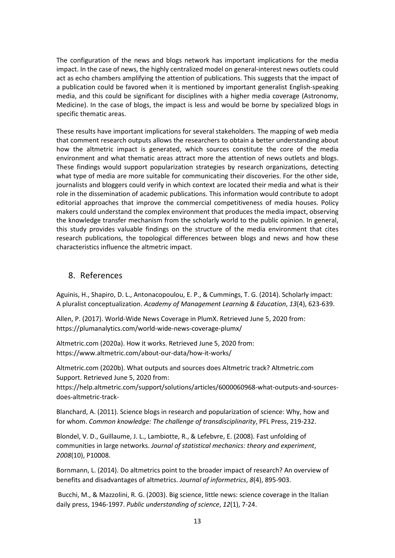The configuration of the news and blogs network has important implications for the media impact. In the case of news, the highly centralized model on general-interest news outlets could act as echo chambers amplifying the attention of publications. This suggests that the impact of a publication could be favored when it is mentioned by important generalist English-speaking media, and this could be significant for disciplines with a higher media coverage (Astronomy, Medicine). In the case of blogs, the impact is less and would be borne by specialized blogs in specific thematic areas.

These results have important implications for several stakeholders. The mapping of web media that comment research outputs allows the researchers to obtain a better understanding about how the altmetric impact is generated, which sources constitute the core of the media environment and what thematic areas attract more the attention of news outlets and blogs. These findings would support popularization strategies by research organizations, detecting what type of media are more suitable for communicating their discoveries. For the other side, journalists and bloggers could verify in which context are located their media and what is their role in the dissemination of academic publications. This information would contribute to adopt editorial approaches that improve the commercial competitiveness of media houses. Policy makers could understand the complex environment that produces the media impact, observing the knowledge transfer mechanism from the scholarly world to the public opinion. In general, this study provides valuable findings on the structure of the media environment that cites research publications, the topological differences between blogs and news and how these characteristics influence the altmetric impact.

### 8. References

Aguinis, H., Shapiro, D. L., Antonacopoulou, E. P., & Cummings, T. G. (2014). Scholarly impact: A pluralist conceptualization. *Academy of Management Learning & Education*, *13*(4), 623-639.

Allen, P. (2017). World-Wide News Coverage in PlumX. Retrieved June 5, 2020 from: https://plumanalytics.com/world-wide-news-coverage-plumx/

Altmetric.com (2020a). How it works. Retrieved June 5, 2020 from: https://www.altmetric.com/about-our-data/how-it-works/

Altmetric.com (2020b). What outputs and sources does Altmetric track? Altmetric.com Support. Retrieved June 5, 2020 from:

https://help.altmetric.com/support/solutions/articles/6000060968-what-outputs-and-sourcesdoes-altmetric-track-

Blanchard, A. (2011). Science blogs in research and popularization of science: Why, how and for whom. *Common knowledge: The challenge of transdisciplinarity*, PFL Press, 219-232.

Blondel, V. D., Guillaume, J. L., Lambiotte, R., & Lefebvre, E. (2008). Fast unfolding of communities in large networks. *Journal of statistical mechanics: theory and experiment*, *2008*(10), P10008.

Bornmann, L. (2014). Do altmetrics point to the broader impact of research? An overview of benefits and disadvantages of altmetrics. *Journal of informetrics*, *8*(4), 895-903.

Bucchi, M., & Mazzolini, R. G. (2003). Big science, little news: science coverage in the Italian daily press, 1946-1997. *Public understanding of science*, *12*(1), 7-24.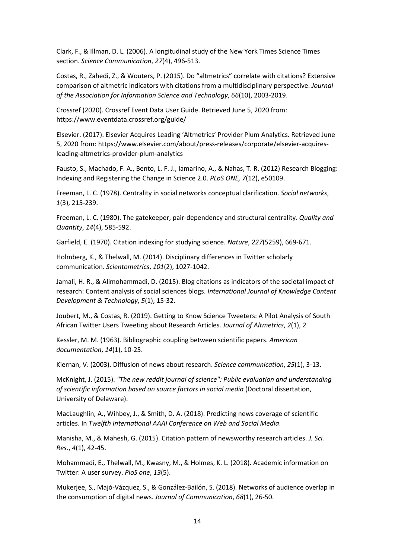Clark, F., & Illman, D. L. (2006). A longitudinal study of the New York Times Science Times section. *Science Communication*, *27*(4), 496-513.

Costas, R., Zahedi, Z., & Wouters, P. (2015). Do "altmetrics" correlate with citations? Extensive comparison of altmetric indicators with citations from a multidisciplinary perspective. *Journal of the Association for Information Science and Technology*, *66*(10), 2003-2019.

Crossref (2020). Crossref Event Data User Guide. Retrieved June 5, 2020 from: https://www.eventdata.crossref.org/guide/

Elsevier. (2017). Elsevier Acquires Leading 'Altmetrics' Provider Plum Analytics. Retrieved June 5, 2020 from: https://www.elsevier.com/about/press-releases/corporate/elsevier-acquiresleading-altmetrics-provider-plum-analytics

Fausto, S., Machado, F. A., Bento, L. F. J., Iamarino, A., & Nahas, T. R. (2012) Research Blogging: Indexing and Registering the Change in Science 2.0. *PLoS ONE, 7*(12), e50109.

Freeman, L. C. (1978). Centrality in social networks conceptual clarification. *Social networks*, *1*(3), 215-239.

Freeman, L. C. (1980). The gatekeeper, pair-dependency and structural centrality. *Quality and Quantity*, *14*(4), 585-592.

Garfield, E. (1970). Citation indexing for studying science. *Nature*, *227*(5259), 669-671.

Holmberg, K., & Thelwall, M. (2014). Disciplinary differences in Twitter scholarly communication. *Scientometrics*, *101*(2), 1027-1042.

Jamali, H. R., & Alimohammadi, D. (2015). Blog citations as indicators of the societal impact of research: Content analysis of social sciences blogs. *International Journal of Knowledge Content Development & Technology*, *5*(1), 15-32.

Joubert, M., & Costas, R. (2019). Getting to Know Science Tweeters: A Pilot Analysis of South African Twitter Users Tweeting about Research Articles. *Journal of Altmetrics*, *2*(1), 2

Kessler, M. M. (1963). Bibliographic coupling between scientific papers. *American documentation*, *14*(1), 10-25.

Kiernan, V. (2003). Diffusion of news about research. *Science communication*, *25*(1), 3-13.

McKnight, J. (2015). *"The new reddit journal of science": Public evaluation and understanding of scientific information based on source factors in social media* (Doctoral dissertation, University of Delaware).

MacLaughlin, A., Wihbey, J., & Smith, D. A. (2018). Predicting news coverage of scientific articles. In *Twelfth International AAAI Conference on Web and Social Media*.

Manisha, M., & Mahesh, G. (2015). Citation pattern of newsworthy research articles. *J. Sci. Res.*, *4*(1), 42-45.

Mohammadi, E., Thelwall, M., Kwasny, M., & Holmes, K. L. (2018). Academic information on Twitter: A user survey. *PloS one*, *13*(5).

Mukerjee, S., Majó-Vázquez, S., & González-Bailón, S. (2018). Networks of audience overlap in the consumption of digital news. *Journal of Communication*, *68*(1), 26-50.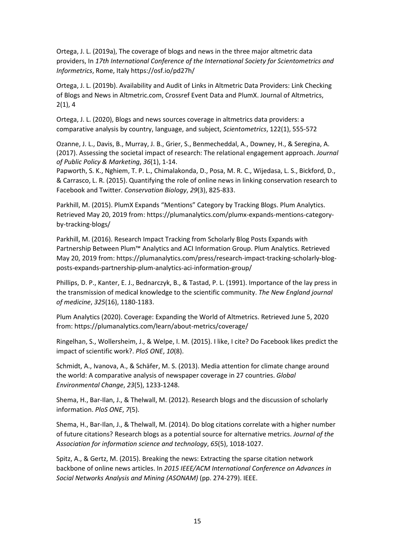Ortega, J. L. (2019a), The coverage of blogs and news in the three major altmetric data providers, In *17th International Conference of the International Society for Scientometrics and Informetrics*, Rome, Italy https://osf.io/pd27h/

Ortega, J. L. (2019b). Availability and Audit of Links in Altmetric Data Providers: Link Checking of Blogs and News in Altmetric.com, Crossref Event Data and PlumX. Journal of Altmetrics, 2(1), 4

Ortega, J. L. (2020), Blogs and news sources coverage in altmetrics data providers: a comparative analysis by country, language, and subject, *Scientometrics*, 122(1), 555-572

Ozanne, J. L., Davis, B., Murray, J. B., Grier, S., Benmecheddal, A., Downey, H., & Seregina, A. (2017). Assessing the societal impact of research: The relational engagement approach. *Journal of Public Policy & Marketing*, *36*(1), 1-14.

Papworth, S. K., Nghiem, T. P. L., Chimalakonda, D., Posa, M. R. C., Wijedasa, L. S., Bickford, D., & Carrasco, L. R. (2015). Quantifying the role of online news in linking conservation research to Facebook and Twitter. *Conservation Biology*, *29*(3), 825-833.

Parkhill, M. (2015). PlumX Expands "Mentions" Category by Tracking Blogs. Plum Analytics. Retrieved May 20, 2019 from: https://plumanalytics.com/plumx-expands-mentions-categoryby-tracking-blogs/

Parkhill, M. (2016). Research Impact Tracking from Scholarly Blog Posts Expands with Partnership Between Plum™ Analytics and ACI Information Group. Plum Analytics. Retrieved May 20, 2019 from: https://plumanalytics.com/press/research-impact-tracking-scholarly-blogposts-expands-partnership-plum-analytics-aci-information-group/

Phillips, D. P., Kanter, E. J., Bednarczyk, B., & Tastad, P. L. (1991). Importance of the lay press in the transmission of medical knowledge to the scientific community. *The New England journal of medicine*, *325*(16), 1180-1183.

Plum Analytics (2020). Coverage: Expanding the World of Altmetrics. Retrieved June 5, 2020 from: https://plumanalytics.com/learn/about-metrics/coverage/

Ringelhan, S., Wollersheim, J., & Welpe, I. M. (2015). I like, I cite? Do Facebook likes predict the impact of scientific work?. *PloS ONE*, *10*(8).

Schmidt, A., Ivanova, A., & Schäfer, M. S. (2013). Media attention for climate change around the world: A comparative analysis of newspaper coverage in 27 countries. *Global Environmental Change*, *23*(5), 1233-1248.

Shema, H., Bar-Ilan, J., & Thelwall, M. (2012). Research blogs and the discussion of scholarly information. *PloS ONE*, *7*(5).

Shema, H., Bar-Ilan, J., & Thelwall, M. (2014). Do blog citations correlate with a higher number of future citations? Research blogs as a potential source for alternative metrics. *Journal of the Association for information science and technology*, *65*(5), 1018-1027.

Spitz, A., & Gertz, M. (2015). Breaking the news: Extracting the sparse citation network backbone of online news articles. In *2015 IEEE/ACM International Conference on Advances in Social Networks Analysis and Mining (ASONAM)* (pp. 274-279). IEEE.